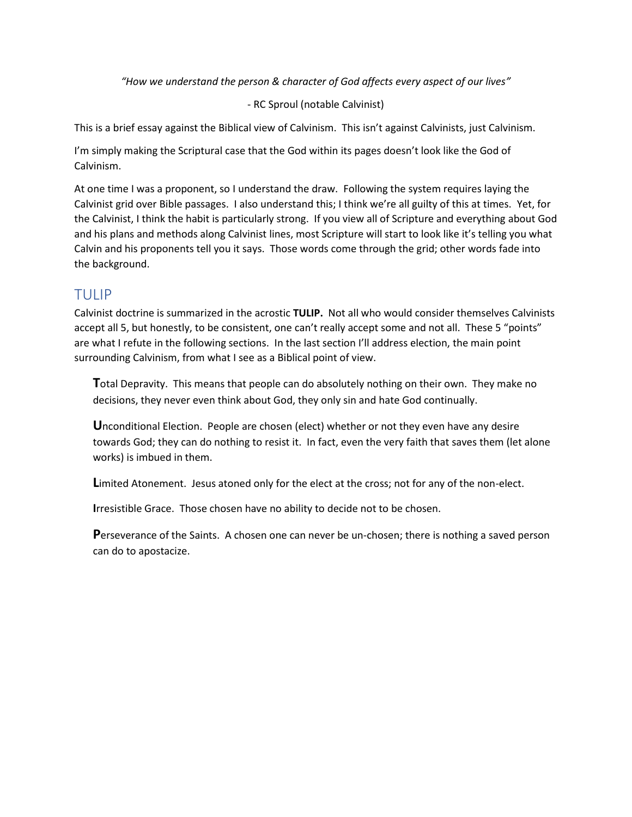*"How we understand the person & character of God affects every aspect of our lives"*

- RC Sproul (notable Calvinist)

This is a brief essay against the Biblical view of Calvinism. This isn't against Calvinists, just Calvinism.

I'm simply making the Scriptural case that the God within its pages doesn't look like the God of Calvinism.

At one time I was a proponent, so I understand the draw. Following the system requires laying the Calvinist grid over Bible passages. I also understand this; I think we're all guilty of this at times. Yet, for the Calvinist, I think the habit is particularly strong. If you view all of Scripture and everything about God and his plans and methods along Calvinist lines, most Scripture will start to look like it's telling you what Calvin and his proponents tell you it says. Those words come through the grid; other words fade into the background.

#### TULIP

Calvinist doctrine is summarized in the acrostic **TULIP.** Not all who would consider themselves Calvinists accept all 5, but honestly, to be consistent, one can't really accept some and not all. These 5 "points" are what I refute in the following sections. In the last section I'll address election, the main point surrounding Calvinism, from what I see as a Biblical point of view.

**T**otal Depravity. This means that people can do absolutely nothing on their own. They make no decisions, they never even think about God, they only sin and hate God continually.

**U**nconditional Election. People are chosen (elect) whether or not they even have any desire towards God; they can do nothing to resist it. In fact, even the very faith that saves them (let alone works) is imbued in them.

**L**imited Atonement. Jesus atoned only for the elect at the cross; not for any of the non-elect.

**I**rresistible Grace. Those chosen have no ability to decide not to be chosen.

**P**erseverance of the Saints. A chosen one can never be un-chosen; there is nothing a saved person can do to apostacize.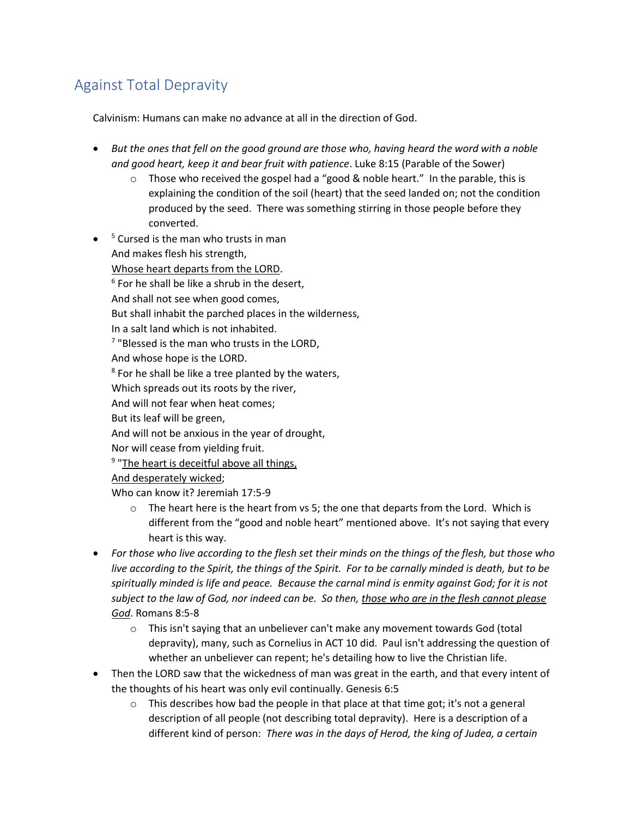# Against Total Depravity

Calvinism: Humans can make no advance at all in the direction of God.

- *But the ones that fell on the good ground are those who, having heard the word with a noble and good heart, keep it and bear fruit with patience*. Luke 8:15 (Parable of the Sower)
	- $\circ$  Those who received the gospel had a "good & noble heart." In the parable, this is explaining the condition of the soil (heart) that the seed landed on; not the condition produced by the seed. There was something stirring in those people before they converted.
- <sup>5</sup> Cursed is the man who trusts in man And makes flesh his strength, Whose heart departs from the LORD.

 $6$  For he shall be like a shrub in the desert,

And shall not see when good comes,

But shall inhabit the parched places in the wilderness,

In a salt land which is not inhabited.

<sup>7</sup> "Blessed is the man who trusts in the LORD,

And whose hope is the LORD.

 $8$  For he shall be like a tree planted by the waters,

Which spreads out its roots by the river,

And will not fear when heat comes;

But its leaf will be green,

And will not be anxious in the year of drought,

Nor will cease from yielding fruit.

<sup>9</sup> "The heart is deceitful above all things,

And desperately wicked;

Who can know it? Jeremiah 17:5-9

- $\circ$  The heart here is the heart from vs 5; the one that departs from the Lord. Which is different from the "good and noble heart" mentioned above. It's not saying that every heart is this way.
- *For those who live according to the flesh set their minds on the things of the flesh, but those who live according to the Spirit, the things of the Spirit. For to be carnally minded is death, but to be spiritually minded is life and peace. Because the carnal mind is enmity against God; for it is not subject to the law of God, nor indeed can be. So then, those who are in the flesh cannot please God*. Romans 8:5-8
	- $\circ$  This isn't saying that an unbeliever can't make any movement towards God (total depravity), many, such as Cornelius in ACT 10 did. Paul isn't addressing the question of whether an unbeliever can repent; he's detailing how to live the Christian life.
- Then the LORD saw that the wickedness of man was great in the earth, and that every intent of the thoughts of his heart was only evil continually. Genesis 6:5
	- $\circ$  This describes how bad the people in that place at that time got; it's not a general description of all people (not describing total depravity). Here is a description of a different kind of person: *There was in the days of Herod, the king of Judea, a certain*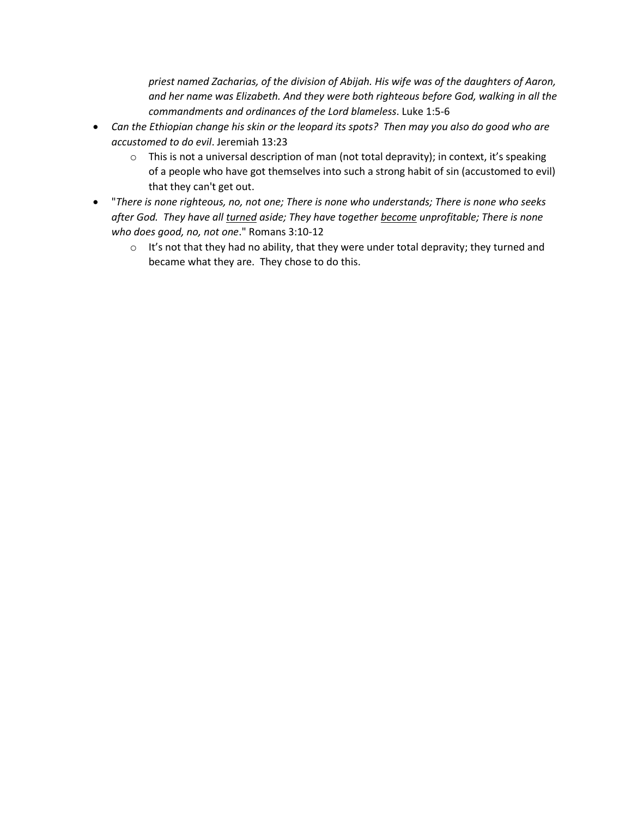*priest named Zacharias, of the division of Abijah. His wife was of the daughters of Aaron, and her name was Elizabeth. And they were both righteous before God, walking in all the commandments and ordinances of the Lord blameless*. Luke 1:5-6

- *Can the Ethiopian change his skin or the leopard its spots? Then may you also do good who are accustomed to do evil*. Jeremiah 13:23
	- $\circ$  This is not a universal description of man (not total depravity); in context, it's speaking of a people who have got themselves into such a strong habit of sin (accustomed to evil) that they can't get out.
- "*There is none righteous, no, not one; There is none who understands; There is none who seeks after God. They have all turned aside; They have together become unprofitable; There is none who does good, no, not one*." Romans 3:10-12
	- $\circ$  It's not that they had no ability, that they were under total depravity; they turned and became what they are. They chose to do this.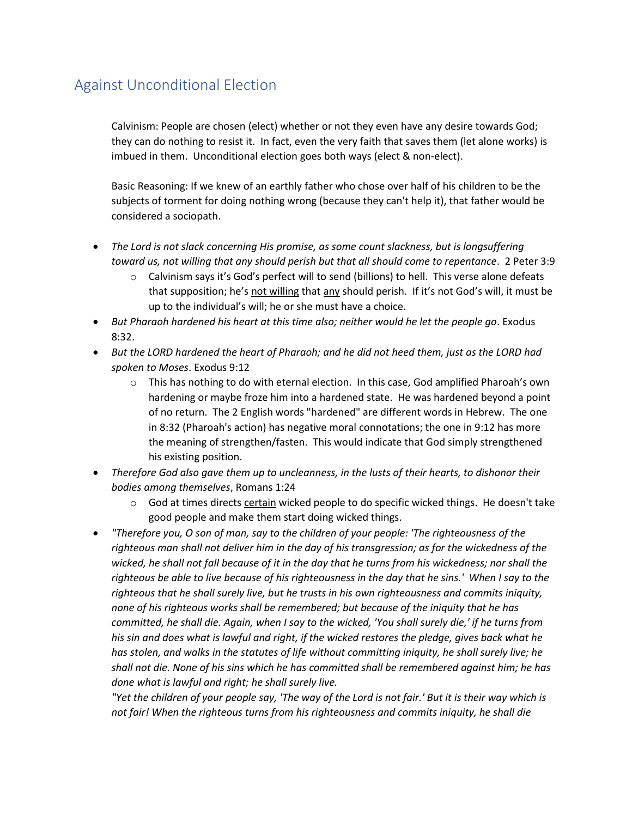#### Against Unconditional Election

Calvinism: People are chosen (elect) whether or not they even have any desire towards God; they can do nothing to resist it. In fact, even the very faith that saves them (let alone works) is imbued in them. Unconditional election goes both ways (elect & non-elect).

Basic Reasoning: If we knew of an earthly father who chose over half of his children to be the subjects of torment for doing nothing wrong (because they can't help it), that father would be considered a sociopath.

- *The Lord is not slack concerning His promise, as some count slackness, but is longsuffering toward us, not willing that any should perish but that all should come to repentance*. 2 Peter 3:9
	- $\circ$  Calvinism says it's God's perfect will to send (billions) to hell. This verse alone defeats that supposition; he's not willing that any should perish. If it's not God's will, it must be up to the individual's will; he or she must have a choice.
- *But Pharaoh hardened his heart at this time also; neither would he let the people go*. Exodus 8:32.
- *But the LORD hardened the heart of Pharaoh; and he did not heed them, just as the LORD had spoken to Moses*. Exodus 9:12
	- $\circ$  This has nothing to do with eternal election. In this case, God amplified Pharoah's own hardening or maybe froze him into a hardened state. He was hardened beyond a point of no return. The 2 English words "hardened" are different words in Hebrew. The one in 8:32 (Pharoah's action) has negative moral connotations; the one in 9:12 has more the meaning of strengthen/fasten. This would indicate that God simply strengthened his existing position.
- *Therefore God also gave them up to uncleanness, in the lusts of their hearts, to dishonor their bodies among themselves*, Romans 1:24
	- $\circ$  God at times directs certain wicked people to do specific wicked things. He doesn't take good people and make them start doing wicked things.
- *"Therefore you, O son of man, say to the children of your people: 'The righteousness of the righteous man shall not deliver him in the day of his transgression; as for the wickedness of the wicked, he shall not fall because of it in the day that he turns from his wickedness; nor shall the righteous be able to live because of his righteousness in the day that he sins.' When I say to the righteous that he shall surely live, but he trusts in his own righteousness and commits iniquity, none of his righteous works shall be remembered; but because of the iniquity that he has committed, he shall die. Again, when I say to the wicked, 'You shall surely die,' if he turns from his sin and does what is lawful and right, if the wicked restores the pledge, gives back what he has stolen, and walks in the statutes of life without committing iniquity, he shall surely live; he shall not die. None of his sins which he has committed shall be remembered against him; he has done what is lawful and right; he shall surely live.*

*"Yet the children of your people say, 'The way of the Lord is not fair.' But it is their way which is not fair! When the righteous turns from his righteousness and commits iniquity, he shall die*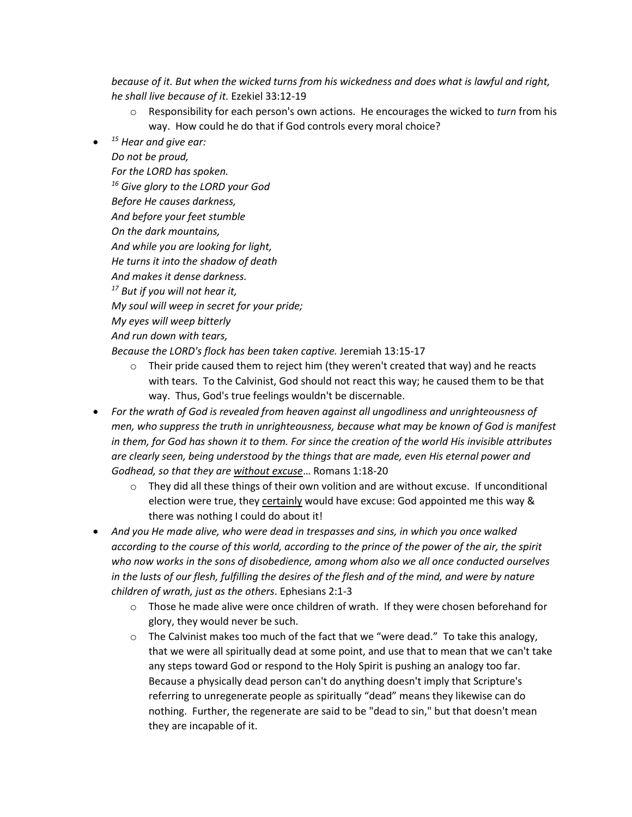*because of it. But when the wicked turns from his wickedness and does what is lawful and right, he shall live because of it.* Ezekiel 33:12-19

- o Responsibility for each person's own actions. He encourages the wicked to *turn* from his way. How could he do that if God controls every moral choice?
- *<sup>15</sup> Hear and give ear:*

*Do not be proud, For the LORD has spoken. <sup>16</sup> Give glory to the LORD your God Before He causes darkness, And before your feet stumble On the dark mountains, And while you are looking for light, He turns it into the shadow of death And makes it dense darkness. <sup>17</sup> But if you will not hear it, My soul will weep in secret for your pride; My eyes will weep bitterly And run down with tears, Because the LORD's flock has been taken captive.* Jeremiah 13:15-17

 $\circ$  Their pride caused them to reject him (they weren't created that way) and he reacts with tears. To the Calvinist, God should not react this way; he caused them to be that way. Thus, God's true feelings wouldn't be discernable.

- *For the wrath of God is revealed from heaven against all ungodliness and unrighteousness of men, who suppress the truth in unrighteousness, because what may be known of God is manifest in them, for God has shown it to them. For since the creation of the world His invisible attributes are clearly seen, being understood by the things that are made, even His eternal power and Godhead, so that they are without excuse*… Romans 1:18-20
	- $\circ$  They did all these things of their own volition and are without excuse. If unconditional election were true, they certainly would have excuse: God appointed me this way & there was nothing I could do about it!
- *And you He made alive, who were dead in trespasses and sins, in which you once walked according to the course of this world, according to the prince of the power of the air, the spirit who now works in the sons of disobedience, among whom also we all once conducted ourselves*  in the lusts of our flesh, fulfilling the desires of the flesh and of the mind, and were by nature *children of wrath, just as the others*. Ephesians 2:1-3
	- $\circ$  Those he made alive were once children of wrath. If they were chosen beforehand for glory, they would never be such.
	- $\circ$  The Calvinist makes too much of the fact that we "were dead." To take this analogy, that we were all spiritually dead at some point, and use that to mean that we can't take any steps toward God or respond to the Holy Spirit is pushing an analogy too far. Because a physically dead person can't do anything doesn't imply that Scripture's referring to unregenerate people as spiritually "dead" means they likewise can do nothing. Further, the regenerate are said to be "dead to sin," but that doesn't mean they are incapable of it.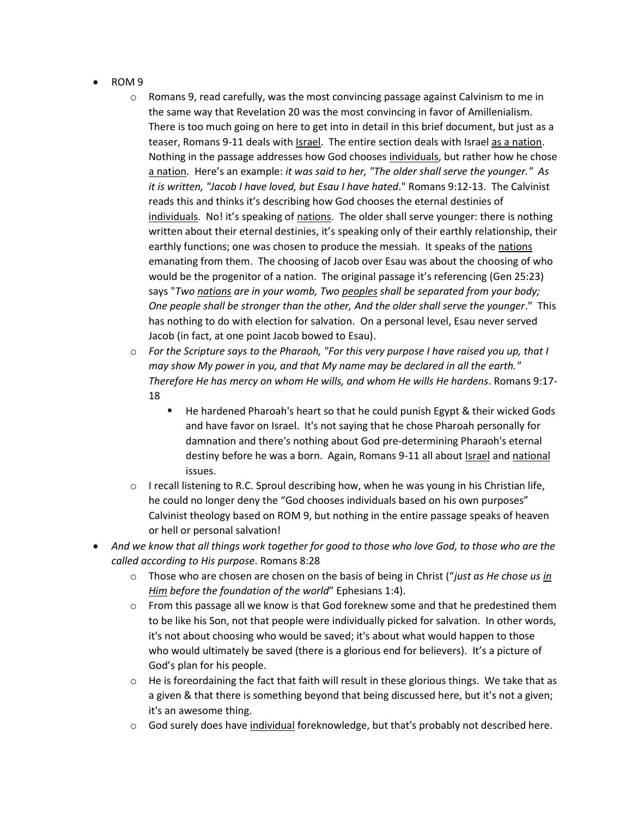- ROM 9
	- $\circ$  Romans 9, read carefully, was the most convincing passage against Calvinism to me in the same way that Revelation 20 was the most convincing in favor of Amillenialism. There is too much going on here to get into in detail in this brief document, but just as a teaser, Romans 9-11 deals with **Israel**. The entire section deals with Israel as a nation. Nothing in the passage addresses how God chooses individuals, but rather how he chose a nation. Here's an example: *it was said to her, "The older shall serve the younger." As it is written, "Jacob I have loved, but Esau I have hated*." Romans 9:12-13. The Calvinist reads this and thinks it's describing how God chooses the eternal destinies of individuals. No! it's speaking of nations. The older shall serve younger: there is nothing written about their eternal destinies, it's speaking only of their earthly relationship, their earthly functions; one was chosen to produce the messiah. It speaks of the nations emanating from them. The choosing of Jacob over Esau was about the choosing of who would be the progenitor of a nation. The original passage it's referencing (Gen 25:23) says "*Two nations are in your womb, Two peoples shall be separated from your body; One people shall be stronger than the other, And the older shall serve the younger*." This has nothing to do with election for salvation. On a personal level, Esau never served Jacob (in fact, at one point Jacob bowed to Esau).
	- o *For the Scripture says to the Pharaoh, "For this very purpose I have raised you up, that I may show My power in you, and that My name may be declared in all the earth." Therefore He has mercy on whom He wills, and whom He wills He hardens*. Romans 9:17- 18
		- He hardened Pharoah's heart so that he could punish Egypt & their wicked Gods and have favor on Israel. It's not saying that he chose Pharoah personally for damnation and there's nothing about God pre-determining Pharaoh's eternal destiny before he was a born. Again, Romans 9-11 all about Israel and national issues.
	- $\circ$  I recall listening to R.C. Sproul describing how, when he was young in his Christian life, he could no longer deny the "God chooses individuals based on his own purposes" Calvinist theology based on ROM 9, but nothing in the entire passage speaks of heaven or hell or personal salvation!
- *And we know that all things work together for good to those who love God, to those who are the called according to His purpose*. Romans 8:28
	- o Those who are chosen are chosen on the basis of being in Christ ("*just as He chose us in Him before the foundation of the world*" Ephesians 1:4).
	- $\circ$  From this passage all we know is that God foreknew some and that he predestined them to be like his Son, not that people were individually picked for salvation. In other words, it's not about choosing who would be saved; it's about what would happen to those who would ultimately be saved (there is a glorious end for believers). It's a picture of God's plan for his people.
	- $\circ$  He is foreordaining the fact that faith will result in these glorious things. We take that as a given & that there is something beyond that being discussed here, but it's not a given; it's an awesome thing.
	- $\circ$  God surely does have individual foreknowledge, but that's probably not described here.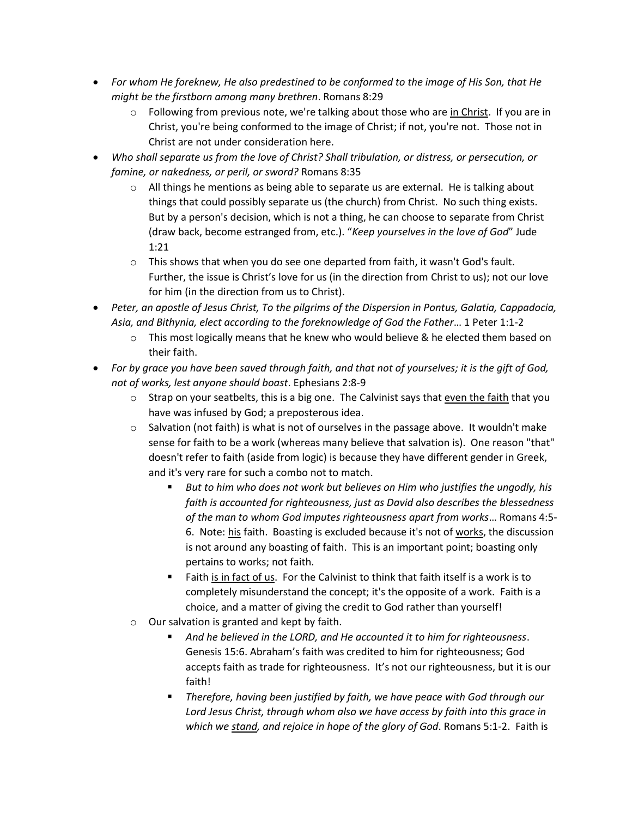- *For whom He foreknew, He also predestined to be conformed to the image of His Son, that He might be the firstborn among many brethren*. Romans 8:29
	- $\circ$  Following from previous note, we're talking about those who are in Christ. If you are in Christ, you're being conformed to the image of Christ; if not, you're not. Those not in Christ are not under consideration here.
- *Who shall separate us from the love of Christ? Shall tribulation, or distress, or persecution, or famine, or nakedness, or peril, or sword?* Romans 8:35
	- $\circ$  All things he mentions as being able to separate us are external. He is talking about things that could possibly separate us (the church) from Christ. No such thing exists. But by a person's decision, which is not a thing, he can choose to separate from Christ (draw back, become estranged from, etc.). "*Keep yourselves in the love of God*" Jude 1:21
	- $\circ$  This shows that when you do see one departed from faith, it wasn't God's fault. Further, the issue is Christ's love for us (in the direction from Christ to us); not our love for him (in the direction from us to Christ).
- *Peter, an apostle of Jesus Christ, To the pilgrims of the Dispersion in Pontus, Galatia, Cappadocia, Asia, and Bithynia, elect according to the foreknowledge of God the Father*… 1 Peter 1:1-2
	- $\circ$  This most logically means that he knew who would believe & he elected them based on their faith.
- *For by grace you have been saved through faith, and that not of yourselves; it is the gift of God, not of works, lest anyone should boast*. Ephesians 2:8-9
	- $\circ$  Strap on your seatbelts, this is a big one. The Calvinist says that even the faith that you have was infused by God; a preposterous idea.
	- $\circ$  Salvation (not faith) is what is not of ourselves in the passage above. It wouldn't make sense for faith to be a work (whereas many believe that salvation is). One reason "that" doesn't refer to faith (aside from logic) is because they have different gender in Greek, and it's very rare for such a combo not to match.
		- But to him who does not work but believes on Him who justifies the ungodly, his *faith is accounted for righteousness, just as David also describes the blessedness of the man to whom God imputes righteousness apart from works*… Romans 4:5- 6. Note: his faith. Boasting is excluded because it's not of works, the discussion is not around any boasting of faith. This is an important point; boasting only pertains to works; not faith.
		- Faith is in fact of us. For the Calvinist to think that faith itself is a work is to completely misunderstand the concept; it's the opposite of a work. Faith is a choice, and a matter of giving the credit to God rather than yourself!
	- o Our salvation is granted and kept by faith.
		- *And he believed in the LORD, and He accounted it to him for righteousness*. Genesis 15:6. Abraham's faith was credited to him for righteousness; God accepts faith as trade for righteousness. It's not our righteousness, but it is our faith!
		- *Therefore, having been justified by faith, we have peace with God through our Lord Jesus Christ, through whom also we have access by faith into this grace in which we stand, and rejoice in hope of the glory of God*. Romans 5:1-2. Faith is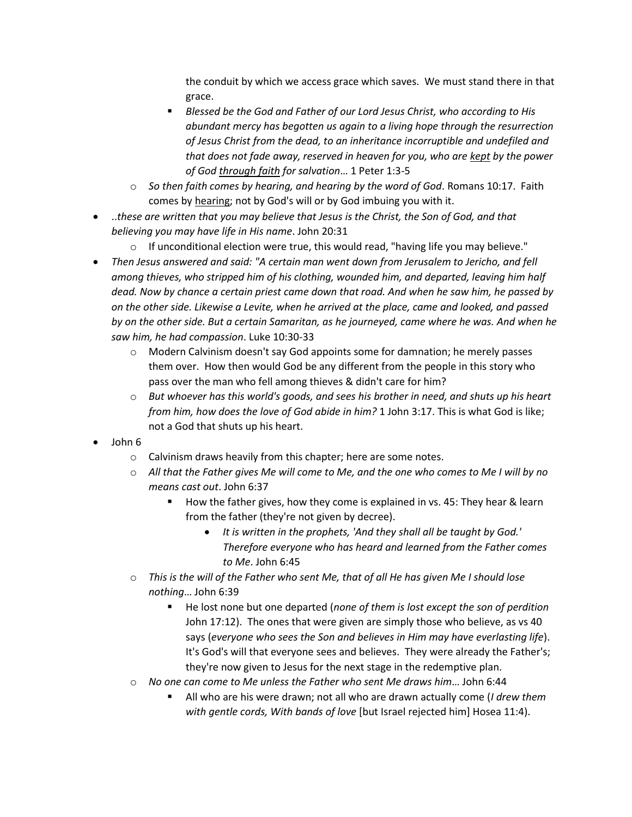the conduit by which we access grace which saves. We must stand there in that grace.

- *Blessed be the God and Father of our Lord Jesus Christ, who according to His abundant mercy has begotten us again to a living hope through the resurrection of Jesus Christ from the dead, to an inheritance incorruptible and undefiled and that does not fade away, reserved in heaven for you, who are kept by the power of God through faith for salvation*… 1 Peter 1:3-5
- o *So then faith comes by hearing, and hearing by the word of God*. Romans 10:17. Faith comes by hearing; not by God's will or by God imbuing you with it.
- ..*these are written that you may believe that Jesus is the Christ, the Son of God, and that believing you may have life in His name*. John 20:31
	- $\circ$  If unconditional election were true, this would read, "having life you may believe."
- *Then Jesus answered and said: "A certain man went down from Jerusalem to Jericho, and fell among thieves, who stripped him of his clothing, wounded him, and departed, leaving him half dead. Now by chance a certain priest came down that road. And when he saw him, he passed by on the other side. Likewise a Levite, when he arrived at the place, came and looked, and passed by on the other side. But a certain Samaritan, as he journeyed, came where he was. And when he saw him, he had compassion*. Luke 10:30-33
	- $\circ$  Modern Calvinism doesn't say God appoints some for damnation; he merely passes them over. How then would God be any different from the people in this story who pass over the man who fell among thieves & didn't care for him?
	- o *But whoever has this world's goods, and sees his brother in need, and shuts up his heart from him, how does the love of God abide in him?* 1 John 3:17. This is what God is like; not a God that shuts up his heart.
- John 6
	- o Calvinism draws heavily from this chapter; here are some notes.
	- o *All that the Father gives Me will come to Me, and the one who comes to Me I will by no means cast out*. John 6:37
		- How the father gives, how they come is explained in vs. 45: They hear & learn from the father (they're not given by decree).
			- *It is written in the prophets, 'And they shall all be taught by God.' Therefore everyone who has heard and learned from the Father comes to Me*. John 6:45
	- o *This is the will of the Father who sent Me, that of all He has given Me I should lose nothing*… John 6:39
		- He lost none but one departed (*none of them is lost except the son of perdition* John 17:12). The ones that were given are simply those who believe, as vs 40 says (*everyone who sees the Son and believes in Him may have everlasting life*). It's God's will that everyone sees and believes. They were already the Father's; they're now given to Jesus for the next stage in the redemptive plan.
	- o *No one can come to Me unless the Father who sent Me draws him*… John 6:44
		- All who are his were drawn; not all who are drawn actually come (*I drew them with gentle cords, With bands of love* [but Israel rejected him] Hosea 11:4).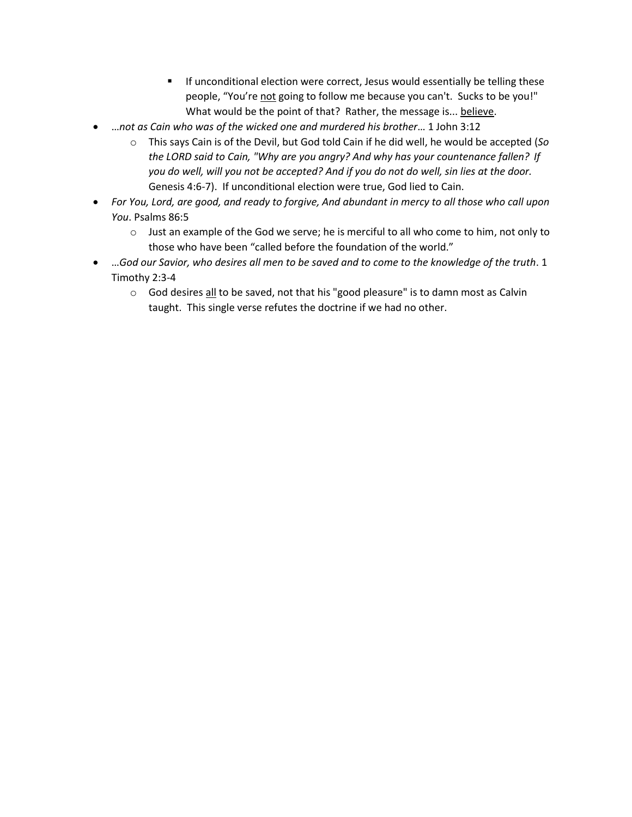- **EXECT** If unconditional election were correct, Jesus would essentially be telling these people, "You're not going to follow me because you can't. Sucks to be you!" What would be the point of that? Rather, the message is... believe.
- …*not as Cain who was of the wicked one and murdered his brother*… 1 John 3:12
	- o This says Cain is of the Devil, but God told Cain if he did well, he would be accepted (*So the LORD said to Cain, "Why are you angry? And why has your countenance fallen? If you do well, will you not be accepted? And if you do not do well, sin lies at the door.*  Genesis 4:6-7). If unconditional election were true, God lied to Cain.
- *For You, Lord, are good, and ready to forgive, And abundant in mercy to all those who call upon You*. Psalms 86:5
	- o Just an example of the God we serve; he is merciful to all who come to him, not only to those who have been "called before the foundation of the world."
- …*God our Savior, who desires all men to be saved and to come to the knowledge of the truth*. 1 Timothy 2:3-4
	- $\circ$  God desires all to be saved, not that his "good pleasure" is to damn most as Calvin taught. This single verse refutes the doctrine if we had no other.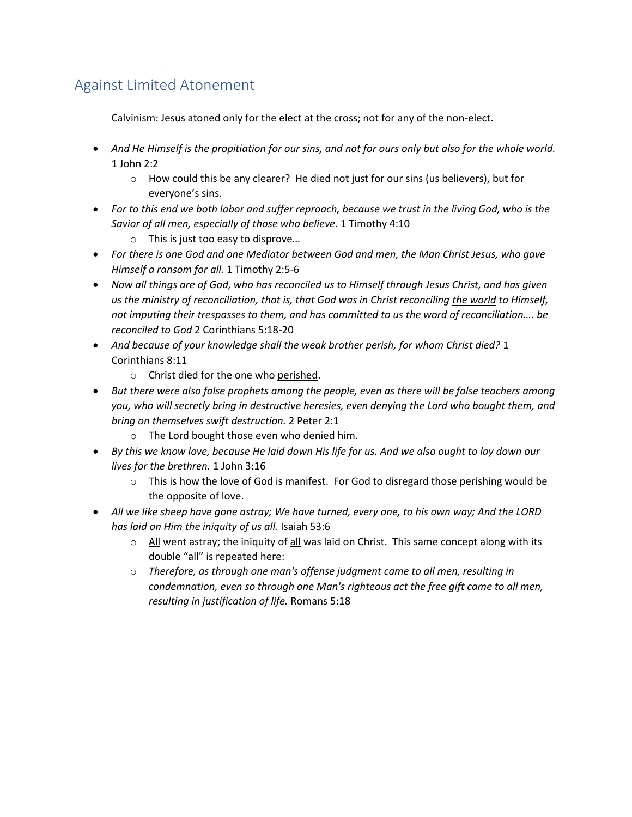# Against Limited Atonement

Calvinism: Jesus atoned only for the elect at the cross; not for any of the non-elect.

- And He Himself is the propitiation for our sins, and not for ours only but also for the whole world. 1 John 2:2
	- $\circ$  How could this be any clearer? He died not just for our sins (us believers), but for everyone's sins.
- *For to this end we both labor and suffer reproach, because we trust in the living God, who is the Savior of all men, especially of those who believe.* 1 Timothy 4:10
	- o This is just too easy to disprove…
- *For there is one God and one Mediator between God and men, the Man Christ Jesus, who gave Himself a ransom for all.* 1 Timothy 2:5-6
- *Now all things are of God, who has reconciled us to Himself through Jesus Christ, and has given us the ministry of reconciliation, that is, that God was in Christ reconciling the world to Himself, not imputing their trespasses to them, and has committed to us the word of reconciliation…. be reconciled to God* 2 Corinthians 5:18-20
- *And because of your knowledge shall the weak brother perish, for whom Christ died?* 1 Corinthians 8:11
	- o Christ died for the one who perished.
- *But there were also false prophets among the people, even as there will be false teachers among you, who will secretly bring in destructive heresies, even denying the Lord who bought them, and bring on themselves swift destruction.* 2 Peter 2:1
	- o The Lord bought those even who denied him.
- *By this we know love, because He laid down His life for us. And we also ought to lay down our lives for the brethren.* 1 John 3:16
	- $\circ$  This is how the love of God is manifest. For God to disregard those perishing would be the opposite of love.
- *All we like sheep have gone astray; We have turned, every one, to his own way; And the LORD has laid on Him the iniquity of us all.* Isaiah 53:6
	- $\circ$  All went astray; the iniquity of all was laid on Christ. This same concept along with its double "all" is repeated here:
	- o *Therefore, as through one man's offense judgment came to all men, resulting in condemnation, even so through one Man's righteous act the free gift came to all men, resulting in justification of life.* Romans 5:18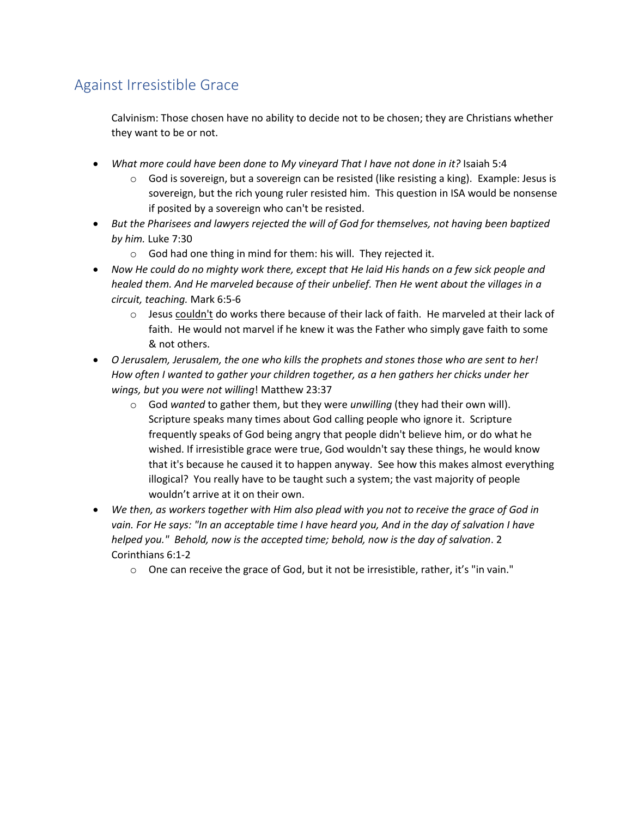# Against Irresistible Grace

Calvinism: Those chosen have no ability to decide not to be chosen; they are Christians whether they want to be or not.

- *What more could have been done to My vineyard That I have not done in it?* Isaiah 5:4
	- $\circ$  God is sovereign, but a sovereign can be resisted (like resisting a king). Example: Jesus is sovereign, but the rich young ruler resisted him. This question in ISA would be nonsense if posited by a sovereign who can't be resisted.
- *But the Pharisees and lawyers rejected the will of God for themselves, not having been baptized by him.* Luke 7:30
	- o God had one thing in mind for them: his will. They rejected it.
- *Now He could do no mighty work there, except that He laid His hands on a few sick people and healed them. And He marveled because of their unbelief. Then He went about the villages in a circuit, teaching.* Mark 6:5-6
	- $\circ$  Jesus couldn't do works there because of their lack of faith. He marveled at their lack of faith. He would not marvel if he knew it was the Father who simply gave faith to some & not others.
- *O Jerusalem, Jerusalem, the one who kills the prophets and stones those who are sent to her! How often I wanted to gather your children together, as a hen gathers her chicks under her wings, but you were not willing*! Matthew 23:37
	- o God *wanted* to gather them, but they were *unwilling* (they had their own will). Scripture speaks many times about God calling people who ignore it. Scripture frequently speaks of God being angry that people didn't believe him, or do what he wished. If irresistible grace were true, God wouldn't say these things, he would know that it's because he caused it to happen anyway. See how this makes almost everything illogical? You really have to be taught such a system; the vast majority of people wouldn't arrive at it on their own.
- *We then, as workers together with Him also plead with you not to receive the grace of God in vain. For He says: "In an acceptable time I have heard you, And in the day of salvation I have helped you." Behold, now is the accepted time; behold, now is the day of salvation*. 2 Corinthians 6:1-2
	- $\circ$  One can receive the grace of God, but it not be irresistible, rather, it's "in vain."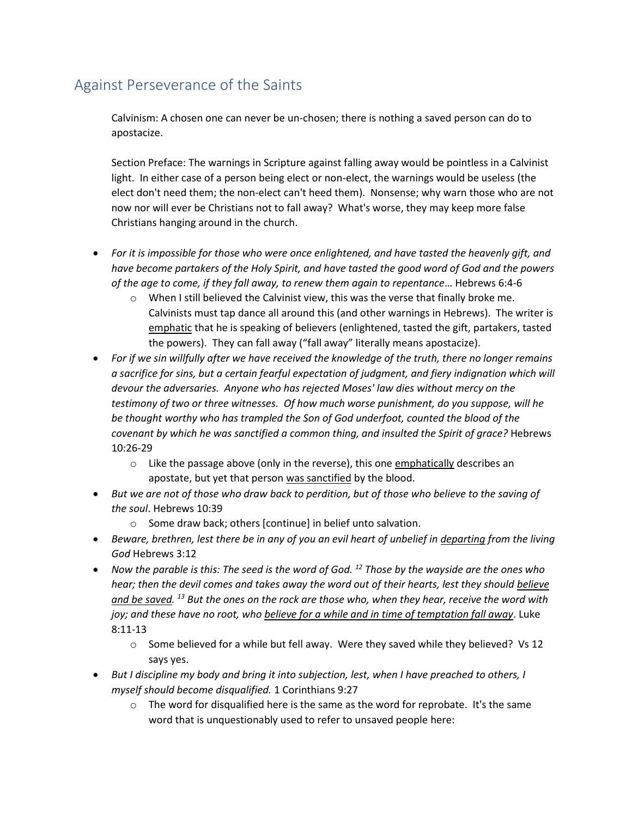# Against Perseverance of the Saints

Calvinism: A chosen one can never be un-chosen; there is nothing a saved person can do to apostacize.

Section Preface: The warnings in Scripture against falling away would be pointless in a Calvinist light. In either case of a person being elect or non-elect, the warnings would be useless (the elect don't need them; the non-elect can't heed them). Nonsense; why warn those who are not now nor will ever be Christians not to fall away? What's worse, they may keep more false Christians hanging around in the church.

- *For it is impossible for those who were once enlightened, and have tasted the heavenly gift, and have become partakers of the Holy Spirit, and have tasted the good word of God and the powers of the age to come, if they fall away, to renew them again to repentance*… Hebrews 6:4-6
	- o When I still believed the Calvinist view, this was the verse that finally broke me. Calvinists must tap dance all around this (and other warnings in Hebrews). The writer is emphatic that he is speaking of believers (enlightened, tasted the gift, partakers, tasted the powers). They can fall away ("fall away" literally means apostacize).
- *For if we sin willfully after we have received the knowledge of the truth, there no longer remains*  a sacrifice for sins, but a certain fearful expectation of judgment, and fiery indignation which will *devour the adversaries. Anyone who has rejected Moses' law dies without mercy on the testimony of two or three witnesses. Of how much worse punishment, do you suppose, will he be thought worthy who has trampled the Son of God underfoot, counted the blood of the covenant by which he was sanctified a common thing, and insulted the Spirit of grace?* Hebrews 10:26-29
	- $\circ$  Like the passage above (only in the reverse), this one emphatically describes an apostate, but yet that person was sanctified by the blood.
- *But we are not of those who draw back to perdition, but of those who believe to the saving of the soul*. Hebrews 10:39
	- o Some draw back; others [continue] in belief unto salvation.
- *Beware, brethren, lest there be in any of you an evil heart of unbelief in departing from the living God* Hebrews 3:12
- *Now the parable is this: The seed is the word of God. <sup>12</sup> Those by the wayside are the ones who hear; then the devil comes and takes away the word out of their hearts, lest they should believe and be saved. <sup>13</sup> But the ones on the rock are those who, when they hear, receive the word with joy; and these have no root, who believe for a while and in time of temptation fall away*. Luke 8:11-13
	- $\circ$  Some believed for a while but fell away. Were they saved while they believed? Vs 12 says yes.
- *But I discipline my body and bring it into subjection, lest, when I have preached to others, I myself should become disqualified.* 1 Corinthians 9:27
	- $\circ$  The word for disqualified here is the same as the word for reprobate. It's the same word that is unquestionably used to refer to unsaved people here: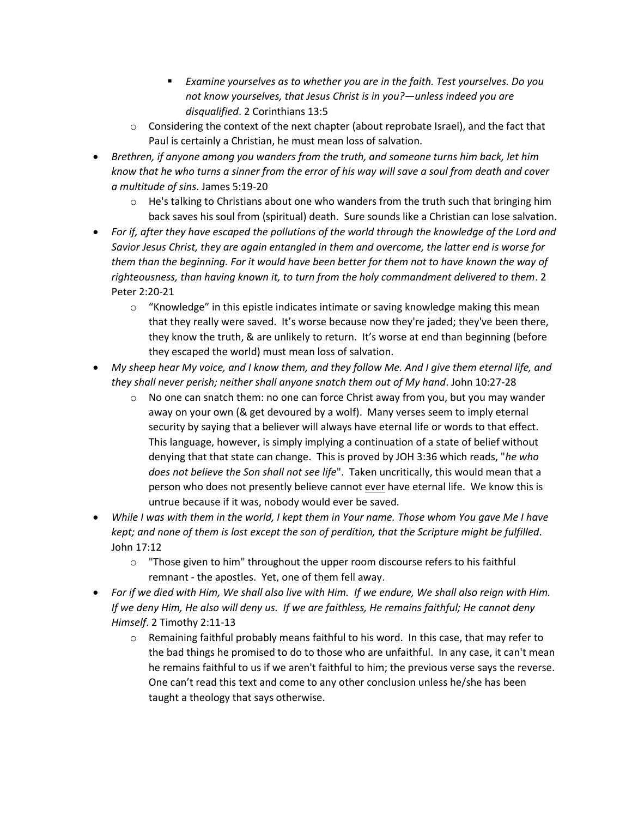- *Examine yourselves as to whether you are in the faith. Test yourselves. Do you not know yourselves, that Jesus Christ is in you?—unless indeed you are disqualified*. 2 Corinthians 13:5
- $\circ$  Considering the context of the next chapter (about reprobate Israel), and the fact that Paul is certainly a Christian, he must mean loss of salvation.
- *Brethren, if anyone among you wanders from the truth, and someone turns him back, let him know that he who turns a sinner from the error of his way will save a soul from death and cover a multitude of sins*. James 5:19-20
	- $\circ$  He's talking to Christians about one who wanders from the truth such that bringing him back saves his soul from (spiritual) death. Sure sounds like a Christian can lose salvation.
- *For if, after they have escaped the pollutions of the world through the knowledge of the Lord and Savior Jesus Christ, they are again entangled in them and overcome, the latter end is worse for them than the beginning. For it would have been better for them not to have known the way of righteousness, than having known it, to turn from the holy commandment delivered to them*. 2 Peter 2:20-21
	- $\circ$  "Knowledge" in this epistle indicates intimate or saving knowledge making this mean that they really were saved. It's worse because now they're jaded; they've been there, they know the truth, & are unlikely to return. It's worse at end than beginning (before they escaped the world) must mean loss of salvation.
- *My sheep hear My voice, and I know them, and they follow Me. And I give them eternal life, and they shall never perish; neither shall anyone snatch them out of My hand*. John 10:27-28
	- $\circ$  No one can snatch them: no one can force Christ away from you, but you may wander away on your own (& get devoured by a wolf). Many verses seem to imply eternal security by saying that a believer will always have eternal life or words to that effect. This language, however, is simply implying a continuation of a state of belief without denying that that state can change. This is proved by JOH 3:36 which reads, "*he who does not believe the Son shall not see life*". Taken uncritically, this would mean that a person who does not presently believe cannot ever have eternal life. We know this is untrue because if it was, nobody would ever be saved.
- *While I was with them in the world, I kept them in Your name. Those whom You gave Me I have kept; and none of them is lost except the son of perdition, that the Scripture might be fulfilled*. John 17:12
	- o "Those given to him" throughout the upper room discourse refers to his faithful remnant - the apostles. Yet, one of them fell away.
- *For if we died with Him, We shall also live with Him. If we endure, We shall also reign with Him. If we deny Him, He also will deny us. If we are faithless, He remains faithful; He cannot deny Himself*. 2 Timothy 2:11-13
	- $\circ$  Remaining faithful probably means faithful to his word. In this case, that may refer to the bad things he promised to do to those who are unfaithful. In any case, it can't mean he remains faithful to us if we aren't faithful to him; the previous verse says the reverse. One can't read this text and come to any other conclusion unless he/she has been taught a theology that says otherwise.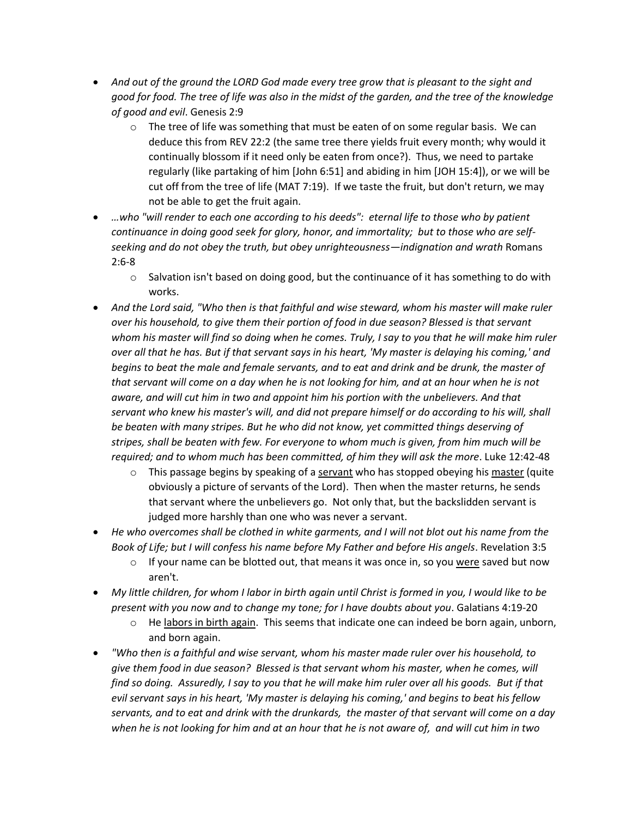- *And out of the ground the LORD God made every tree grow that is pleasant to the sight and good for food. The tree of life was also in the midst of the garden, and the tree of the knowledge of good and evil*. Genesis 2:9
	- $\circ$  The tree of life was something that must be eaten of on some regular basis. We can deduce this from REV 22:2 (the same tree there yields fruit every month; why would it continually blossom if it need only be eaten from once?). Thus, we need to partake regularly (like partaking of him [John 6:51] and abiding in him [JOH 15:4]), or we will be cut off from the tree of life (MAT 7:19). If we taste the fruit, but don't return, we may not be able to get the fruit again.
- *…who "will render to each one according to his deeds": eternal life to those who by patient continuance in doing good seek for glory, honor, and immortality; but to those who are selfseeking and do not obey the truth, but obey unrighteousness—indignation and wrath* Romans 2:6-8
	- $\circ$  Salvation isn't based on doing good, but the continuance of it has something to do with works.
- *And the Lord said, "Who then is that faithful and wise steward, whom his master will make ruler over his household, to give them their portion of food in due season? Blessed is that servant whom his master will find so doing when he comes. Truly, I say to you that he will make him ruler over all that he has. But if that servant says in his heart, 'My master is delaying his coming,' and begins to beat the male and female servants, and to eat and drink and be drunk, the master of that servant will come on a day when he is not looking for him, and at an hour when he is not aware, and will cut him in two and appoint him his portion with the unbelievers. And that servant who knew his master's will, and did not prepare himself or do according to his will, shall be beaten with many stripes. But he who did not know, yet committed things deserving of stripes, shall be beaten with few. For everyone to whom much is given, from him much will be required; and to whom much has been committed, of him they will ask the more*. Luke 12:42-48
	- $\circ$  This passage begins by speaking of a servant who has stopped obeying his master (quite obviously a picture of servants of the Lord). Then when the master returns, he sends that servant where the unbelievers go. Not only that, but the backslidden servant is judged more harshly than one who was never a servant.
- *He who overcomes shall be clothed in white garments, and I will not blot out his name from the Book of Life; but I will confess his name before My Father and before His angels*. Revelation 3:5
	- $\circ$  If your name can be blotted out, that means it was once in, so you were saved but now aren't.
- *My little children, for whom I labor in birth again until Christ is formed in you, I would like to be present with you now and to change my tone; for I have doubts about you*. Galatians 4:19-20
	- $\circ$  He labors in birth again. This seems that indicate one can indeed be born again, unborn, and born again.
- *"Who then is a faithful and wise servant, whom his master made ruler over his household, to give them food in due season? Blessed is that servant whom his master, when he comes, will find so doing. Assuredly, I say to you that he will make him ruler over all his goods. But if that evil servant says in his heart, 'My master is delaying his coming,' and begins to beat his fellow servants, and to eat and drink with the drunkards, the master of that servant will come on a day when he is not looking for him and at an hour that he is not aware of, and will cut him in two*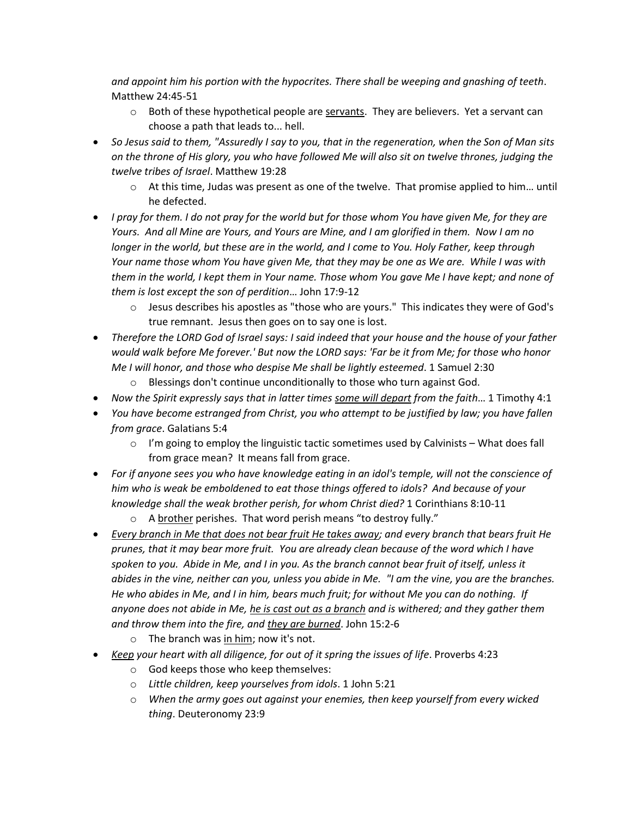*and appoint him his portion with the hypocrites. There shall be weeping and gnashing of teeth*. Matthew 24:45-51

- $\circ$  Both of these hypothetical people are servants. They are believers. Yet a servant can choose a path that leads to... hell.
- *So Jesus said to them, "Assuredly I say to you, that in the regeneration, when the Son of Man sits on the throne of His glory, you who have followed Me will also sit on twelve thrones, judging the twelve tribes of Israel*. Matthew 19:28
	- o At this time, Judas was present as one of the twelve. That promise applied to him… until he defected.
- *I pray for them. I do not pray for the world but for those whom You have given Me, for they are Yours. And all Mine are Yours, and Yours are Mine, and I am glorified in them. Now I am no longer in the world, but these are in the world, and I come to You. Holy Father, keep through Your name those whom You have given Me, that they may be one as We are. While I was with them in the world, I kept them in Your name. Those whom You gave Me I have kept; and none of them is lost except the son of perdition*… John 17:9-12
	- $\circ$  Jesus describes his apostles as "those who are yours." This indicates they were of God's true remnant. Jesus then goes on to say one is lost.
- *Therefore the LORD God of Israel says: I said indeed that your house and the house of your father would walk before Me forever.' But now the LORD says: 'Far be it from Me; for those who honor Me I will honor, and those who despise Me shall be lightly esteemed*. 1 Samuel 2:30
	- o Blessings don't continue unconditionally to those who turn against God.
- *Now the Spirit expressly says that in latter times some will depart from the faith*… 1 Timothy 4:1
- *You have become estranged from Christ, you who attempt to be justified by law; you have fallen from grace*. Galatians 5:4
	- $\circ$  I'm going to employ the linguistic tactic sometimes used by Calvinists What does fall from grace mean? It means fall from grace.
- *For if anyone sees you who have knowledge eating in an idol's temple, will not the conscience of him who is weak be emboldened to eat those things offered to idols? And because of your knowledge shall the weak brother perish, for whom Christ died?* 1 Corinthians 8:10-11
	- o A brother perishes. That word perish means "to destroy fully."
- *Every branch in Me that does not bear fruit He takes away; and every branch that bears fruit He prunes, that it may bear more fruit. You are already clean because of the word which I have spoken to you. Abide in Me, and I in you. As the branch cannot bear fruit of itself, unless it abides in the vine, neither can you, unless you abide in Me. "I am the vine, you are the branches. He who abides in Me, and I in him, bears much fruit; for without Me you can do nothing. If anyone does not abide in Me, he is cast out as a branch and is withered; and they gather them and throw them into the fire, and they are burned*. John 15:2-6
	- o The branch was in him; now it's not.
- *Keep your heart with all diligence, for out of it spring the issues of life*. Proverbs 4:23
	- o God keeps those who keep themselves:
	- o *Little children, keep yourselves from idols*. 1 John 5:21
	- o *When the army goes out against your enemies, then keep yourself from every wicked thing*. Deuteronomy 23:9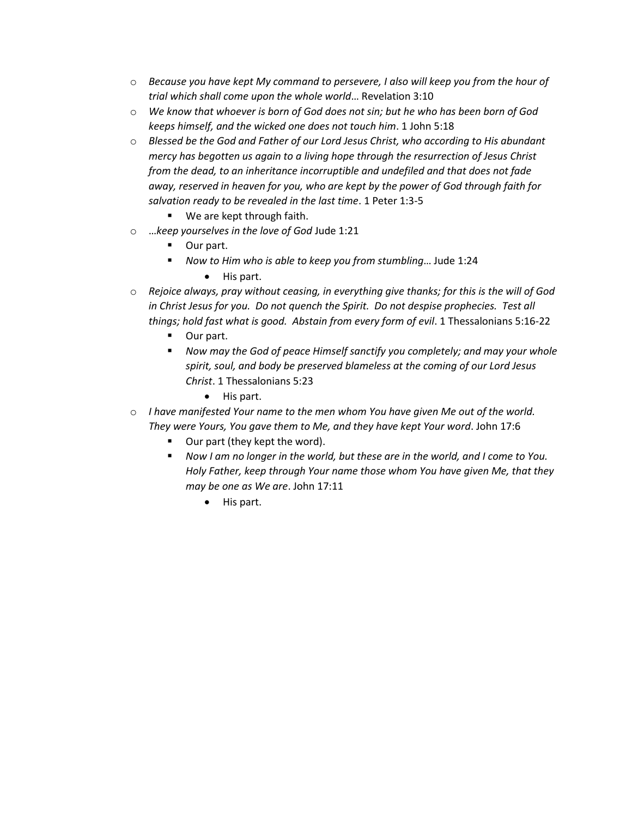- o *Because you have kept My command to persevere, I also will keep you from the hour of trial which shall come upon the whole world*… Revelation 3:10
- o *We know that whoever is born of God does not sin; but he who has been born of God keeps himself, and the wicked one does not touch him*. 1 John 5:18
- o *Blessed be the God and Father of our Lord Jesus Christ, who according to His abundant mercy has begotten us again to a living hope through the resurrection of Jesus Christ from the dead, to an inheritance incorruptible and undefiled and that does not fade away, reserved in heaven for you, who are kept by the power of God through faith for salvation ready to be revealed in the last time*. 1 Peter 1:3-5
	- We are kept through faith.
- o …*keep yourselves in the love of God* Jude 1:21
	- Our part.
	- *Now to Him who is able to keep you from stumbling...* Jude 1:24
		- His part.
- o *Rejoice always, pray without ceasing, in everything give thanks; for this is the will of God in Christ Jesus for you. Do not quench the Spirit. Do not despise prophecies. Test all things; hold fast what is good. Abstain from every form of evil*. 1 Thessalonians 5:16-22
	- Our part.
	- *Now may the God of peace Himself sanctify you completely; and may your whole spirit, soul, and body be preserved blameless at the coming of our Lord Jesus Christ*. 1 Thessalonians 5:23
		- His part.
- o *I have manifested Your name to the men whom You have given Me out of the world. They were Yours, You gave them to Me, and they have kept Your word*. John 17:6
	- Our part (they kept the word).
	- *Now I am no longer in the world, but these are in the world, and I come to You. Holy Father, keep through Your name those whom You have given Me, that they may be one as We are*. John 17:11
		- His part.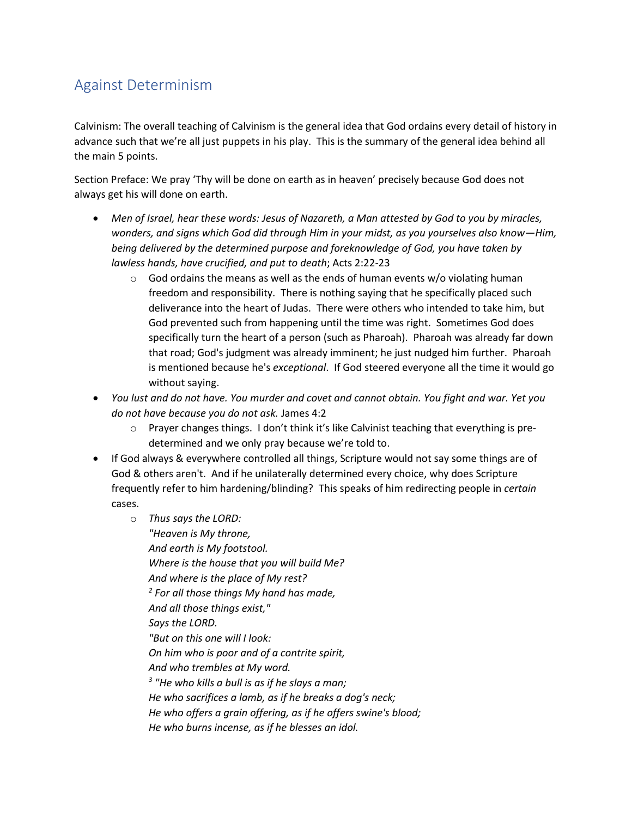# Against Determinism

Calvinism: The overall teaching of Calvinism is the general idea that God ordains every detail of history in advance such that we're all just puppets in his play. This is the summary of the general idea behind all the main 5 points.

Section Preface: We pray 'Thy will be done on earth as in heaven' precisely because God does not always get his will done on earth.

- *Men of Israel, hear these words: Jesus of Nazareth, a Man attested by God to you by miracles, wonders, and signs which God did through Him in your midst, as you yourselves also know—Him, being delivered by the determined purpose and foreknowledge of God, you have taken by lawless hands, have crucified, and put to death*; Acts 2:22-23
	- $\circ$  God ordains the means as well as the ends of human events w/o violating human freedom and responsibility. There is nothing saying that he specifically placed such deliverance into the heart of Judas. There were others who intended to take him, but God prevented such from happening until the time was right. Sometimes God does specifically turn the heart of a person (such as Pharoah). Pharoah was already far down that road; God's judgment was already imminent; he just nudged him further. Pharoah is mentioned because he's *exceptional*. If God steered everyone all the time it would go without saying.
- *You lust and do not have. You murder and covet and cannot obtain. You fight and war. Yet you do not have because you do not ask.* James 4:2
	- o Prayer changes things. I don't think it's like Calvinist teaching that everything is predetermined and we only pray because we're told to.
- If God always & everywhere controlled all things, Scripture would not say some things are of God & others aren't. And if he unilaterally determined every choice, why does Scripture frequently refer to him hardening/blinding? This speaks of him redirecting people in *certain* cases.
	- o *Thus says the LORD:*

*"Heaven is My throne, And earth is My footstool. Where is the house that you will build Me? And where is the place of My rest? 2 For all those things My hand has made, And all those things exist," Says the LORD. "But on this one will I look: On him who is poor and of a contrite spirit, And who trembles at My word. 3 "He who kills a bull is as if he slays a man; He who sacrifices a lamb, as if he breaks a dog's neck; He who offers a grain offering, as if he offers swine's blood; He who burns incense, as if he blesses an idol.*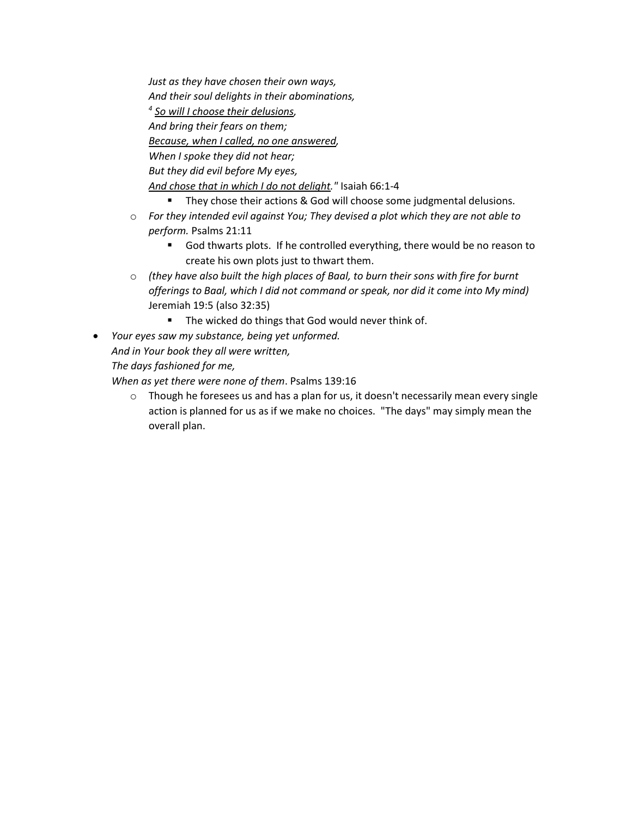*Just as they have chosen their own ways, And their soul delights in their abominations, 4 So will I choose their delusions, And bring their fears on them; Because, when I called, no one answered, When I spoke they did not hear; But they did evil before My eyes, And chose that in which I do not delight."* Isaiah 66:1-4

- They chose their actions & God will choose some judgmental delusions.
- o *For they intended evil against You; They devised a plot which they are not able to perform.* Psalms 21:11
	- God thwarts plots. If he controlled everything, there would be no reason to create his own plots just to thwart them.
- o *(they have also built the high places of Baal, to burn their sons with fire for burnt offerings to Baal, which I did not command or speak, nor did it come into My mind)*  Jeremiah 19:5 (also 32:35)
	- The wicked do things that God would never think of.
- *Your eyes saw my substance, being yet unformed. And in Your book they all were written, The days fashioned for me,*
	- *When as yet there were none of them*. Psalms 139:16
		- $\circ$  Though he foresees us and has a plan for us, it doesn't necessarily mean every single action is planned for us as if we make no choices. "The days" may simply mean the overall plan.